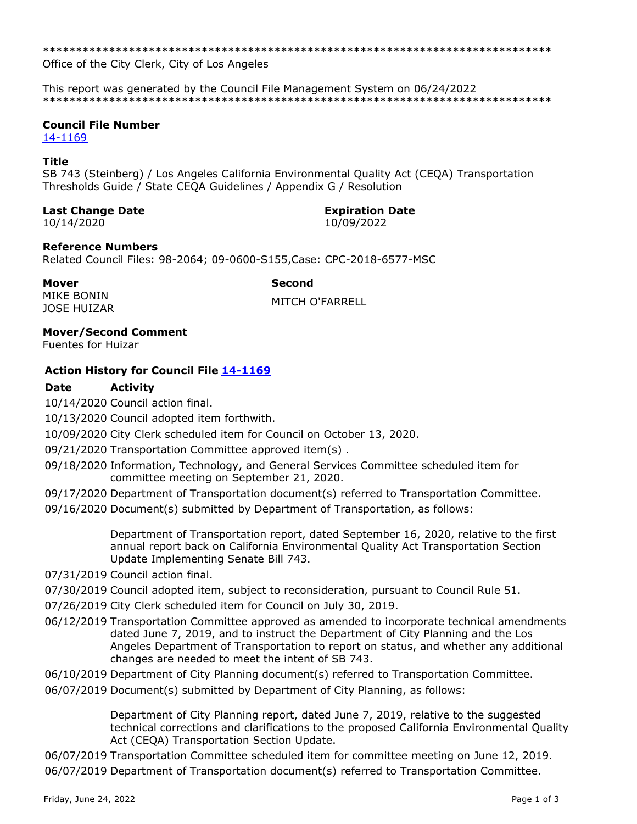Office of the City Clerk, City of Los Angeles

This report was generated by the Council File Management System on 06/24/2022 

# **Council File Number**

14-1169

## **Title**

SB 743 (Steinberg) / Los Angeles California Environmental Quality Act (CEQA) Transportation Thresholds Guide / State CEQA Guidelines / Appendix G / Resolution

### **Last Change Date**

10/14/2020

# **Expiration Date**

10/09/2022

### **Reference Numbers**

Related Council Files: 98-2064; 09-0600-S155, Case: CPC-2018-6577-MSC

#### **Mover**

**Second** 

**MIKE BONIN JOSE HUIZAR** 

**MITCH O'FARRELL** 

# **Mover/Second Comment**

**Fuentes for Huizar** 

# **Action History for Council File 14-1169**

#### **Date Activity**

10/14/2020 Council action final.

10/13/2020 Council adopted item forthwith.

10/09/2020 City Clerk scheduled item for Council on October 13, 2020.

09/21/2020 Transportation Committee approved item(s).

- 09/18/2020 Information, Technology, and General Services Committee scheduled item for committee meeting on September 21, 2020.
- 09/17/2020 Department of Transportation document(s) referred to Transportation Committee.

09/16/2020 Document(s) submitted by Department of Transportation, as follows:

Department of Transportation report, dated September 16, 2020, relative to the first annual report back on California Environmental Quality Act Transportation Section Update Implementing Senate Bill 743.

- 07/31/2019 Council action final.
- 07/30/2019 Council adopted item, subject to reconsideration, pursuant to Council Rule 51.
- 07/26/2019 City Clerk scheduled item for Council on July 30, 2019.
- 06/12/2019 Transportation Committee approved as amended to incorporate technical amendments dated June 7, 2019, and to instruct the Department of City Planning and the Los Angeles Department of Transportation to report on status, and whether any additional changes are needed to meet the intent of SB 743.
- 06/10/2019 Department of City Planning document(s) referred to Transportation Committee.
- 06/07/2019 Document(s) submitted by Department of City Planning, as follows:

Department of City Planning report, dated June 7, 2019, relative to the suggested technical corrections and clarifications to the proposed California Environmental Quality Act (CEOA) Transportation Section Update.

06/07/2019 Transportation Committee scheduled item for committee meeting on June 12, 2019. 06/07/2019 Department of Transportation document(s) referred to Transportation Committee.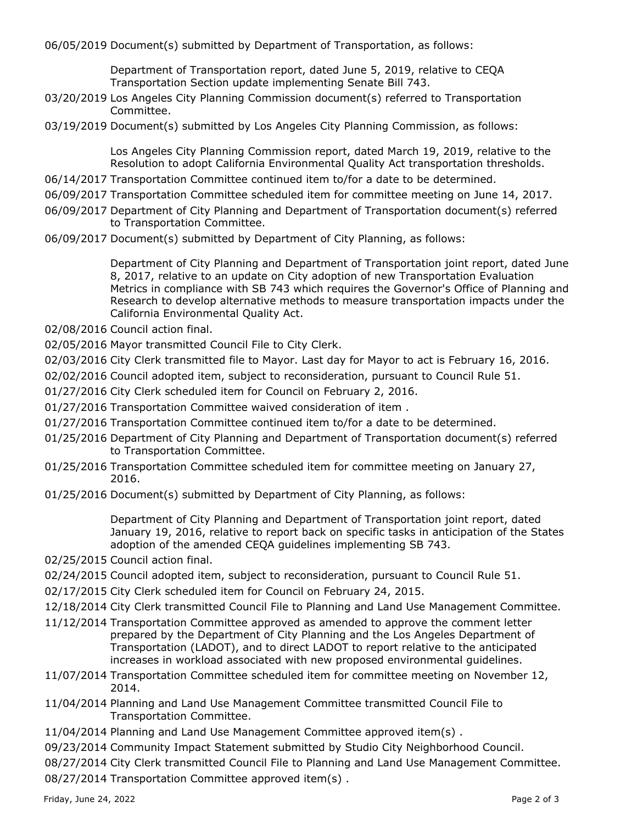06/05/2019 Document(s) submitted by Department of Transportation, as follows:

Department of Transportation report, dated June 5, 2019, relative to CEQA Transportation Section update implementing Senate Bill 743.

- 03/20/2019 Los Angeles City Planning Commission document(s) referred to Transportation Committee.
- 03/19/2019 Document(s) submitted by Los Angeles City Planning Commission, as follows:

Los Angeles City Planning Commission report, dated March 19, 2019, relative to the Resolution to adopt California Environmental Quality Act transportation thresholds.

- 06/14/2017 Transportation Committee continued item to/for a date to be determined.
- 06/09/2017 Transportation Committee scheduled item for committee meeting on June 14, 2017.
- 06/09/2017 Department of City Planning and Department of Transportation document(s) referred to Transportation Committee.
- 06/09/2017 Document(s) submitted by Department of City Planning, as follows:

Department of City Planning and Department of Transportation joint report, dated June 8, 2017, relative to an update on City adoption of new Transportation Evaluation Metrics in compliance with SB 743 which requires the Governor's Office of Planning and Research to develop alternative methods to measure transportation impacts under the California Environmental Quality Act.

- 02/08/2016 Council action final.
- 02/05/2016 Mayor transmitted Council File to City Clerk.
- 02/03/2016 City Clerk transmitted file to Mayor. Last day for Mayor to act is February 16, 2016.
- 02/02/2016 Council adopted item, subject to reconsideration, pursuant to Council Rule 51.
- 01/27/2016 City Clerk scheduled item for Council on February 2, 2016.
- 01/27/2016 Transportation Committee waived consideration of item .
- 01/27/2016 Transportation Committee continued item to/for a date to be determined.
- 01/25/2016 Department of City Planning and Department of Transportation document(s) referred to Transportation Committee.
- 01/25/2016 Transportation Committee scheduled item for committee meeting on January 27, 2016.
- 01/25/2016 Document(s) submitted by Department of City Planning, as follows:

Department of City Planning and Department of Transportation joint report, dated January 19, 2016, relative to report back on specific tasks in anticipation of the States adoption of the amended CEQA guidelines implementing SB 743.

02/25/2015 Council action final.

- 02/24/2015 Council adopted item, subject to reconsideration, pursuant to Council Rule 51.
- 02/17/2015 City Clerk scheduled item for Council on February 24, 2015.
- 12/18/2014 City Clerk transmitted Council File to Planning and Land Use Management Committee.
- 11/12/2014 Transportation Committee approved as amended to approve the comment letter prepared by the Department of City Planning and the Los Angeles Department of Transportation (LADOT), and to direct LADOT to report relative to the anticipated increases in workload associated with new proposed environmental guidelines.
- 11/07/2014 Transportation Committee scheduled item for committee meeting on November 12, 2014.
- 11/04/2014 Planning and Land Use Management Committee transmitted Council File to Transportation Committee.
- 11/04/2014 Planning and Land Use Management Committee approved item(s) .
- 09/23/2014 Community Impact Statement submitted by Studio City Neighborhood Council.
- 08/27/2014 City Clerk transmitted Council File to Planning and Land Use Management Committee.
- 08/27/2014 Transportation Committee approved item(s) .